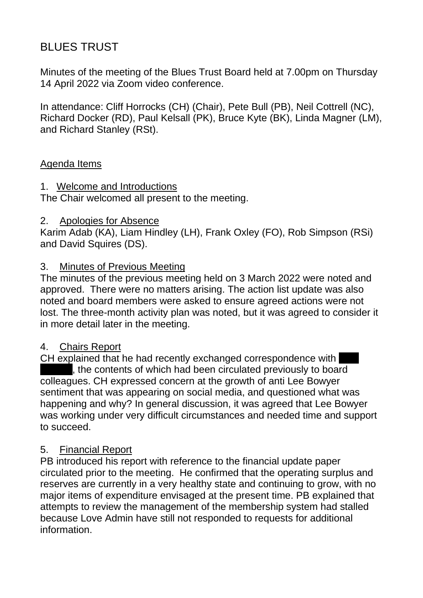# BLUES TRUST

Minutes of the meeting of the Blues Trust Board held at 7.00pm on Thursday 14 April 2022 via Zoom video conference.

In attendance: Cliff Horrocks (CH) (Chair), Pete Bull (PB), Neil Cottrell (NC), Richard Docker (RD), Paul Kelsall (PK), Bruce Kyte (BK), Linda Magner (LM), and Richard Stanley (RSt).

## Agenda Items

## 1. Welcome and Introductions

The Chair welcomed all present to the meeting.

## 2. Apologies for Absence

Karim Adab (KA), Liam Hindley (LH), Frank Oxley (FO), Rob Simpson (RSi) and David Squires (DS).

## 3. Minutes of Previous Meeting

The minutes of the previous meeting held on 3 March 2022 were noted and approved. There were no matters arising. The action list update was also noted and board members were asked to ensure agreed actions were not lost. The three-month activity plan was noted, but it was agreed to consider it in more detail later in the meeting.

## 4. Chairs Report

CH explained that he had recently exchanged correspondence with the contents of which had been circulated previously to board colleagues. CH expressed concern at the growth of anti Lee Bowyer sentiment that was appearing on social media, and questioned what was happening and why? In general discussion, it was agreed that Lee Bowyer was working under very difficult circumstances and needed time and support to succeed.

## 5. Financial Report

PB introduced his report with reference to the financial update paper circulated prior to the meeting. He confirmed that the operating surplus and reserves are currently in a very healthy state and continuing to grow, with no major items of expenditure envisaged at the present time. PB explained that attempts to review the management of the membership system had stalled because Love Admin have still not responded to requests for additional information.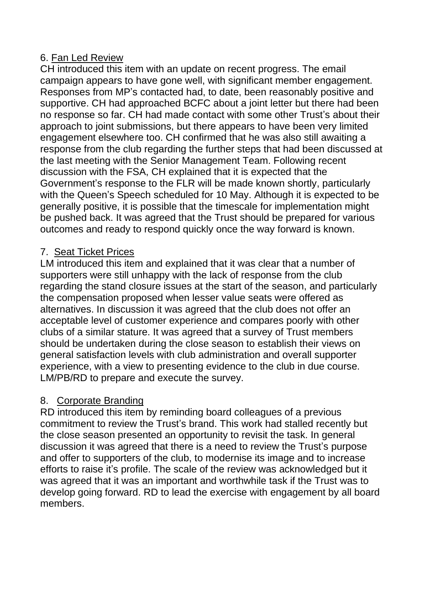## 6. Fan Led Review

CH introduced this item with an update on recent progress. The email campaign appears to have gone well, with significant member engagement. Responses from MP's contacted had, to date, been reasonably positive and supportive. CH had approached BCFC about a joint letter but there had been no response so far. CH had made contact with some other Trust's about their approach to joint submissions, but there appears to have been very limited engagement elsewhere too. CH confirmed that he was also still awaiting a response from the club regarding the further steps that had been discussed at the last meeting with the Senior Management Team. Following recent discussion with the FSA, CH explained that it is expected that the Government's response to the FLR will be made known shortly, particularly with the Queen's Speech scheduled for 10 May. Although it is expected to be generally positive, it is possible that the timescale for implementation might be pushed back. It was agreed that the Trust should be prepared for various outcomes and ready to respond quickly once the way forward is known.

# 7. Seat Ticket Prices

LM introduced this item and explained that it was clear that a number of supporters were still unhappy with the lack of response from the club regarding the stand closure issues at the start of the season, and particularly the compensation proposed when lesser value seats were offered as alternatives. In discussion it was agreed that the club does not offer an acceptable level of customer experience and compares poorly with other clubs of a similar stature. It was agreed that a survey of Trust members should be undertaken during the close season to establish their views on general satisfaction levels with club administration and overall supporter experience, with a view to presenting evidence to the club in due course. LM/PB/RD to prepare and execute the survey.

# 8. Corporate Branding

RD introduced this item by reminding board colleagues of a previous commitment to review the Trust's brand. This work had stalled recently but the close season presented an opportunity to revisit the task. In general discussion it was agreed that there is a need to review the Trust's purpose and offer to supporters of the club, to modernise its image and to increase efforts to raise it's profile. The scale of the review was acknowledged but it was agreed that it was an important and worthwhile task if the Trust was to develop going forward. RD to lead the exercise with engagement by all board members.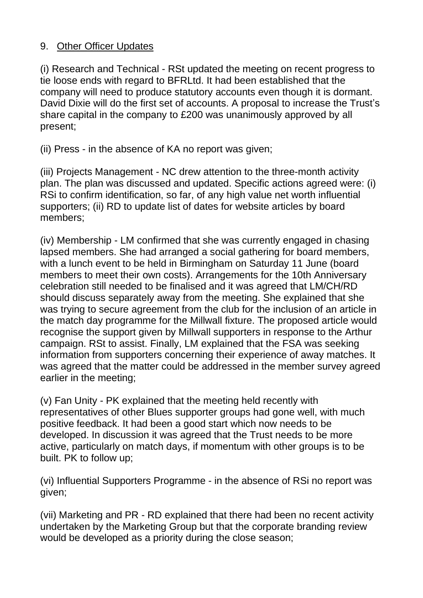## 9. Other Officer Updates

(i) Research and Technical - RSt updated the meeting on recent progress to tie loose ends with regard to BFRLtd. It had been established that the company will need to produce statutory accounts even though it is dormant. David Dixie will do the first set of accounts. A proposal to increase the Trust's share capital in the company to £200 was unanimously approved by all present;

(ii) Press - in the absence of KA no report was given;

(iii) Projects Management - NC drew attention to the three-month activity plan. The plan was discussed and updated. Specific actions agreed were: (i) RSi to confirm identification, so far, of any high value net worth influential supporters; (ii) RD to update list of dates for website articles by board members;

(iv) Membership - LM confirmed that she was currently engaged in chasing lapsed members. She had arranged a social gathering for board members, with a lunch event to be held in Birmingham on Saturday 11 June (board members to meet their own costs). Arrangements for the 10th Anniversary celebration still needed to be finalised and it was agreed that LM/CH/RD should discuss separately away from the meeting. She explained that she was trying to secure agreement from the club for the inclusion of an article in the match day programme for the Millwall fixture. The proposed article would recognise the support given by Millwall supporters in response to the Arthur campaign. RSt to assist. Finally, LM explained that the FSA was seeking information from supporters concerning their experience of away matches. It was agreed that the matter could be addressed in the member survey agreed earlier in the meeting;

(v) Fan Unity - PK explained that the meeting held recently with representatives of other Blues supporter groups had gone well, with much positive feedback. It had been a good start which now needs to be developed. In discussion it was agreed that the Trust needs to be more active, particularly on match days, if momentum with other groups is to be built. PK to follow up;

(vi) Influential Supporters Programme - in the absence of RSi no report was given;

(vii) Marketing and PR - RD explained that there had been no recent activity undertaken by the Marketing Group but that the corporate branding review would be developed as a priority during the close season;